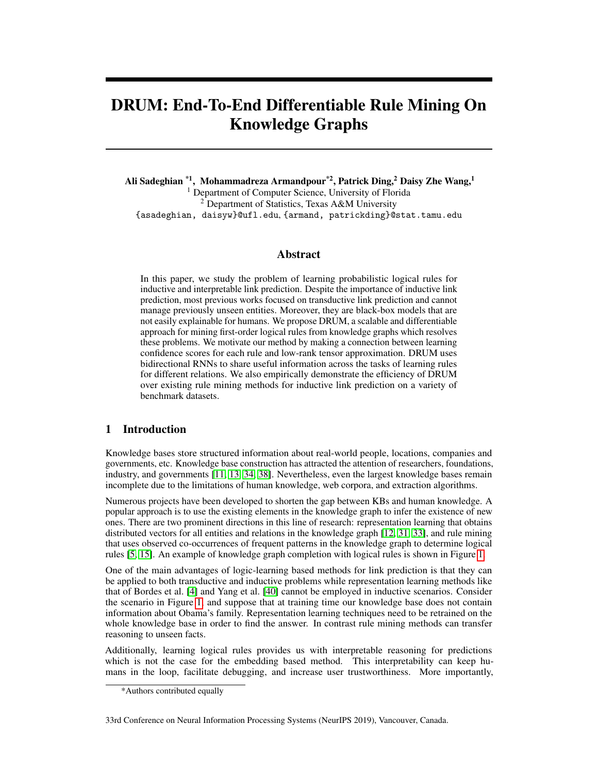# DRUM: End-To-End Differentiable Rule Mining On Knowledge Graphs

Ali Sadeghian \*1, Mohammadreza Armandpour\*2, Patrick Ding,<sup>2</sup> Daisy Zhe Wang,<sup>1</sup> <sup>1</sup> Department of Computer Science, University of Florida <sup>2</sup> Department of Statistics, Texas A&M University {asadeghian, daisyw}@ufl.edu, {armand, patrickding}@stat.tamu.edu

# Abstract

In this paper, we study the problem of learning probabilistic logical rules for inductive and interpretable link prediction. Despite the importance of inductive link prediction, most previous works focused on transductive link prediction and cannot manage previously unseen entities. Moreover, they are black-box models that are not easily explainable for humans. We propose DRUM, a scalable and differentiable approach for mining first-order logical rules from knowledge graphs which resolves these problems. We motivate our method by making a connection between learning confidence scores for each rule and low-rank tensor approximation. DRUM uses bidirectional RNNs to share useful information across the tasks of learning rules for different relations. We also empirically demonstrate the efficiency of DRUM over existing rule mining methods for inductive link prediction on a variety of benchmark datasets.

# 1 Introduction

Knowledge bases store structured information about real-world people, locations, companies and governments, etc. Knowledge base construction has attracted the attention of researchers, foundations, industry, and governments [11, 13, 34, 38]. Nevertheless, even the largest knowledge bases remain incomplete due to the limitations of human knowledge, web corpora, and extraction algorithms.

Numerous projects have been developed to shorten the gap between KBs and human knowledge. A popular approach is to use the existing elements in the knowledge graph to infer the existence of new ones. There are two prominent directions in this line of research: representation learning that obtains distributed vectors for all entities and relations in the knowledge graph [12, 31, 33], and rule mining that uses observed co-occurrences of frequent patterns in the knowledge graph to determine logical rules [5, 15]. An example of knowledge graph completion with logical rules is shown in Figure 1.

One of the main advantages of logic-learning based methods for link prediction is that they can be applied to both transductive and inductive problems while representation learning methods like that of Bordes et al. [4] and Yang et al. [40] cannot be employed in inductive scenarios. Consider the scenario in Figure 1, and suppose that at training time our knowledge base does not contain information about Obama's family. Representation learning techniques need to be retrained on the whole knowledge base in order to find the answer. In contrast rule mining methods can transfer reasoning to unseen facts.

Additionally, learning logical rules provides us with interpretable reasoning for predictions which is not the case for the embedding based method. This interpretability can keep humans in the loop, facilitate debugging, and increase user trustworthiness. More importantly,

<sup>\*</sup>Authors contributed equally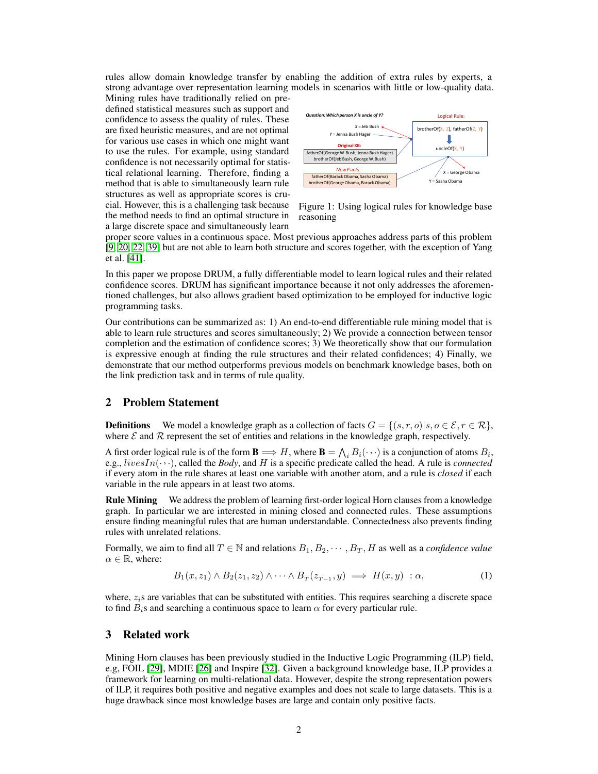rules allow domain knowledge transfer by enabling the addition of extra rules by experts, a strong advantage over representation learning models in scenarios with little or low-quality data.

Mining rules have traditionally relied on predefined statistical measures such as support and confidence to assess the quality of rules. These are fixed heuristic measures, and are not optimal for various use cases in which one might want to use the rules. For example, using standard confidence is not necessarily optimal for statistical relational learning. Therefore, finding a method that is able to simultaneously learn rule structures as well as appropriate scores is crucial. However, this is a challenging task because the method needs to find an optimal structure in a large discrete space and simultaneously learn



Figure 1: Using logical rules for knowledge base reasoning

proper score values in a continuous space. Most previous approaches address parts of this problem [9, 20, 22, 39] but are not able to learn both structure and scores together, with the exception of Yang et al. [41].

In this paper we propose DRUM, a fully differentiable model to learn logical rules and their related confidence scores. DRUM has significant importance because it not only addresses the aforementioned challenges, but also allows gradient based optimization to be employed for inductive logic programming tasks.

Our contributions can be summarized as: 1) An end-to-end differentiable rule mining model that is able to learn rule structures and scores simultaneously; 2) We provide a connection between tensor completion and the estimation of confidence scores; 3) We theoretically show that our formulation is expressive enough at finding the rule structures and their related confidences; 4) Finally, we demonstrate that our method outperforms previous models on benchmark knowledge bases, both on the link prediction task and in terms of rule quality.

## 2 Problem Statement

**Definitions** We model a knowledge graph as a collection of facts  $G = \{(s, r, o) | s, o \in \mathcal{E}, r \in \mathcal{R}\}\,$ where  $\mathcal E$  and  $\mathcal R$  represent the set of entities and relations in the knowledge graph, respectively.

A first order logical rule is of the form  $\mathbf{B} \Longrightarrow H$ , where  $\mathbf{B} = \bigwedge_i B_i(\cdots)$  is a conjunction of atoms  $B_i$ , e.g.,  $livesIn(\cdot, \cdot)$ , called the *Body*, and H is a specific predicate called the head. A rule is *connected* if every atom in the rule shares at least one variable with another atom, and a rule is *closed* if each variable in the rule appears in at least two atoms.

Rule Mining We address the problem of learning first-order logical Horn clauses from a knowledge graph. In particular we are interested in mining closed and connected rules. These assumptions ensure finding meaningful rules that are human understandable. Connectedness also prevents finding rules with unrelated relations.

Formally, we aim to find all  $T \in \mathbb{N}$  and relations  $B_1, B_2, \cdots, B_T, H$  as well as a *confidence value*  $\alpha \in \mathbb{R}$ , where:

$$
B_1(x, z_1) \wedge B_2(z_1, z_2) \wedge \cdots \wedge B_r(z_{r-1}, y) \implies H(x, y) : \alpha,
$$
 (1)

where,  $z_i$ s are variables that can be substituted with entities. This requires searching a discrete space to find  $B_i$ s and searching a continuous space to learn  $\alpha$  for every particular rule.

## 3 Related work

Mining Horn clauses has been previously studied in the Inductive Logic Programming (ILP) field, e.g, FOIL [29], MDIE [26] and Inspire [32]. Given a background knowledge base, ILP provides a framework for learning on multi-relational data. However, despite the strong representation powers of ILP, it requires both positive and negative examples and does not scale to large datasets. This is a huge drawback since most knowledge bases are large and contain only positive facts.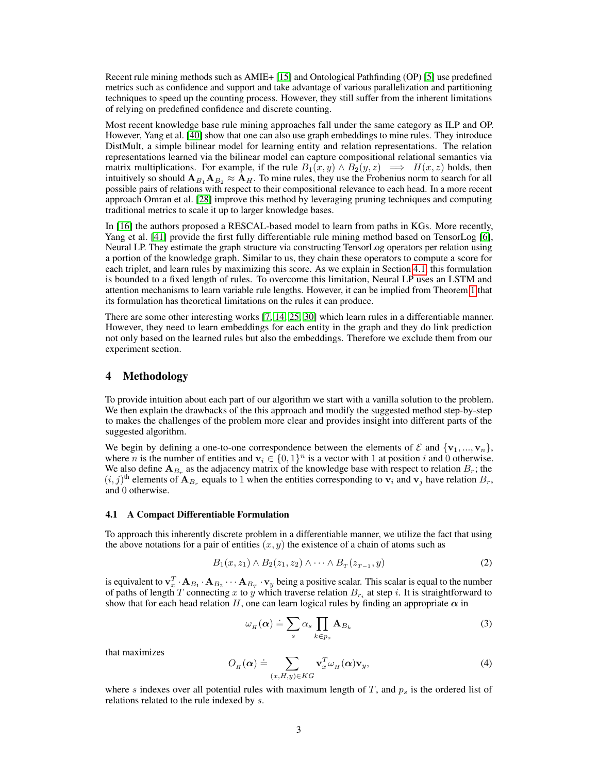Recent rule mining methods such as AMIE+ [15] and Ontological Pathfinding (OP) [5] use predefined metrics such as confidence and support and take advantage of various parallelization and partitioning techniques to speed up the counting process. However, they still suffer from the inherent limitations of relying on predefined confidence and discrete counting.

Most recent knowledge base rule mining approaches fall under the same category as ILP and OP. However, Yang et al. [40] show that one can also use graph embeddings to mine rules. They introduce DistMult, a simple bilinear model for learning entity and relation representations. The relation representations learned via the bilinear model can capture compositional relational semantics via matrix multiplications. For example, if the rule  $B_1(x, y) \wedge B_2(y, z) \implies H(x, z)$  holds, then intuitively so should  $A_{B_1}A_{B_2} \approx A_H$ . To mine rules, they use the Frobenius norm to search for all possible pairs of relations with respect to their compositional relevance to each head. In a more recent approach Omran et al. [28] improve this method by leveraging pruning techniques and computing traditional metrics to scale it up to larger knowledge bases.

In [16] the authors proposed a RESCAL-based model to learn from paths in KGs. More recently, Yang et al. [41] provide the first fully differentiable rule mining method based on TensorLog [6], Neural LP. They estimate the graph structure via constructing TensorLog operators per relation using a portion of the knowledge graph. Similar to us, they chain these operators to compute a score for each triplet, and learn rules by maximizing this score. As we explain in Section 4.1, this formulation is bounded to a fixed length of rules. To overcome this limitation, Neural LP uses an LSTM and attention mechanisms to learn variable rule lengths. However, it can be implied from Theorem 1 that its formulation has theoretical limitations on the rules it can produce.

There are some other interesting works [7, 14, 25, 30] which learn rules in a differentiable manner. However, they need to learn embeddings for each entity in the graph and they do link prediction not only based on the learned rules but also the embeddings. Therefore we exclude them from our experiment section.

## 4 Methodology

To provide intuition about each part of our algorithm we start with a vanilla solution to the problem. We then explain the drawbacks of the this approach and modify the suggested method step-by-step to makes the challenges of the problem more clear and provides insight into different parts of the suggested algorithm.

We begin by defining a one-to-one correspondence between the elements of  $\mathcal{E}$  and  $\{v_1, ..., v_n\}$ , where *n* is the number of entities and  $v_i \in \{0,1\}^n$  is a vector with 1 at position *i* and 0 otherwise. We also define  $A_{B_r}$  as the adjacency matrix of the knowledge base with respect to relation  $B_r$ ; the  $(i, j)$ <sup>th</sup> elements of  $A_{B_r}$  equals to 1 when the entities corresponding to  $v_i$  and  $v_j$  have relation  $B_r$ , and 0 otherwise.

## 4.1 A Compact Differentiable Formulation

To approach this inherently discrete problem in a differentiable manner, we utilize the fact that using the above notations for a pair of entities  $(x, y)$  the existence of a chain of atoms such as

$$
B_1(x, z_1) \wedge B_2(z_1, z_2) \wedge \cdots \wedge B_r(z_{r-1}, y) \tag{2}
$$

is equivalent to  $\mathbf{v}_x^T \cdot \mathbf{A}_{B_1} \cdot \mathbf{A}_{B_2} \cdots \mathbf{A}_{B_T} \cdot \mathbf{v}_y$  being a positive scalar. This scalar is equal to the number of paths of length  $T$  connecting  $x$  to  $\hat{y}$  which traverse relation  $B_{r_i}$  at step  $i$ . It is straightforward to show that for each head relation H, one can learn logical rules by finding an appropriate  $\alpha$  in

$$
\omega_{H}(\alpha) \doteq \sum_{s} \alpha_{s} \prod_{k \in p_{s}} \mathbf{A}_{B_{k}}
$$
\n(3)

that maximizes

$$
O_H(\alpha) \doteq \sum_{(x,H,y)\in KG} \mathbf{v}_x^T \omega_H(\alpha) \mathbf{v}_y,\tag{4}
$$

where s indexes over all potential rules with maximum length of  $T$ , and  $p_s$  is the ordered list of relations related to the rule indexed by s.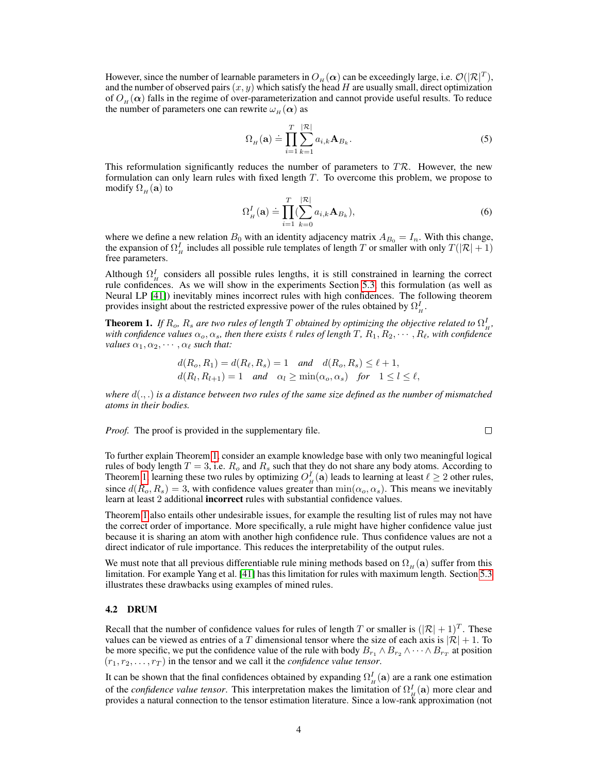However, since the number of learnable parameters in  $O_{H}(\alpha)$  can be exceedingly large, i.e.  $\mathcal{O}(|\mathcal{R}|^T)$ , and the number of observed pairs  $(x, y)$  which satisfy the head H are usually small, direct optimization of  $O_H(\alpha)$  falls in the regime of over-parameterization and cannot provide useful results. To reduce the number of parameters one can rewrite  $\omega_H(\alpha)$  as

$$
\Omega_{H}(\mathbf{a}) \doteq \prod_{i=1}^{T} \sum_{k=1}^{|\mathcal{R}|} a_{i,k} \mathbf{A}_{B_k}.
$$
\n(5)

This reformulation significantly reduces the number of parameters to  $TR$ . However, the new formulation can only learn rules with fixed length T. To overcome this problem, we propose to modify  $\Omega_{H}({\bf a})$  to

$$
\Omega_H^I(\mathbf{a}) \doteq \prod_{i=1}^T (\sum_{k=0}^{|\mathcal{R}|} a_{i,k} \mathbf{A}_{B_k}), \tag{6}
$$

where we define a new relation  $B_0$  with an identity adjacency matrix  $A_{B_0} = I_n$ . With this change, the expansion of  $\Omega_H^I$  includes all possible rule templates of length T or smaller with only  $T(|\mathcal{R}|+1)$ free parameters.

Although  $\Omega_{\rm H}^I$  considers all possible rules lengths, it is still constrained in learning the correct rule confidences. As we will show in the experiments Section 5.3, this formulation (as well as Neural LP [41]) inevitably mines incorrect rules with high confidences. The following theorem provides insight about the restricted expressive power of the rules obtained by  $\Omega_h^I$ .

**Theorem 1.** If  $R_o$ ,  $R_s$  are two rules of length  $T$  obtained by optimizing the objective related to  $\Omega^I_{\mu}$ , with confidence values  $\alpha_o$ ,  $\alpha_s$ , then there exists  $\ell$  rules of length  $T$ ,  $R_1$ ,  $R_2$ ,  $\cdots$ ,  $R_\ell$ , with confidence *values*  $\alpha_1, \alpha_2, \cdots, \alpha_\ell$  *such that:* 

$$
d(R_o, R_1) = d(R_{\ell}, R_s) = 1 \text{ and } d(R_o, R_s) \leq \ell + 1,d(R_l, R_{l+1}) = 1 \text{ and } \alpha_l \geq \min(\alpha_o, \alpha_s) \text{ for } 1 \leq l \leq \ell,
$$

*where* d(., .) *is a distance between two rules of the same size defined as the number of mismatched atoms in their bodies.*

*Proof.* The proof is provided in the supplementary file.

$$
\qquad \qquad \Box
$$

To further explain Theorem 1, consider an example knowledge base with only two meaningful logical rules of body length  $T = 3$ , i.e.  $R_o$  and  $R_s$  such that they do not share any body atoms. According to Theorem 1, learning these two rules by optimizing  $O<sup>I</sup><sub>H</sub>(\mathbf{a})$  leads to learning at least  $\ell \geq 2$  other rules, since  $d(R_o, R_s) = 3$ , with confidence values greater than  $min(\alpha_o, \alpha_s)$ . This means we inevitably learn at least 2 additional incorrect rules with substantial confidence values.

Theorem 1 also entails other undesirable issues, for example the resulting list of rules may not have the correct order of importance. More specifically, a rule might have higher confidence value just because it is sharing an atom with another high confidence rule. Thus confidence values are not a direct indicator of rule importance. This reduces the interpretability of the output rules.

We must note that all previous differentiable rule mining methods based on  $\Omega_H({\bf a})$  suffer from this limitation. For example Yang et al. [41] has this limitation for rules with maximum length. Section 5.3 illustrates these drawbacks using examples of mined rules.

#### 4.2 DRUM

Recall that the number of confidence values for rules of length T or smaller is  $(|\mathcal{R}| + 1)^T$ . These values can be viewed as entries of a T dimensional tensor where the size of each axis is  $|\mathcal{R}| + 1$ . To be more specific, we put the confidence value of the rule with body  $B_{r_1} \wedge B_{r_2} \wedge \cdots \wedge B_{r_T}$  at position  $(r_1, r_2, \ldots, r_T)$  in the tensor and we call it the *confidence value tensor*.

It can be shown that the final confidences obtained by expanding  $\Omega_h^I(\mathbf{a})$  are a rank one estimation of the *confidence value tensor*. This interpretation makes the limitation of  $\Omega_{\mu}^{I}(\mathbf{a})$  more clear and provides a natural connection to the tensor estimation literature. Since a low-rank approximation (not provides a natural connection to the tensor estimation literature. Since a low-rank approximation (not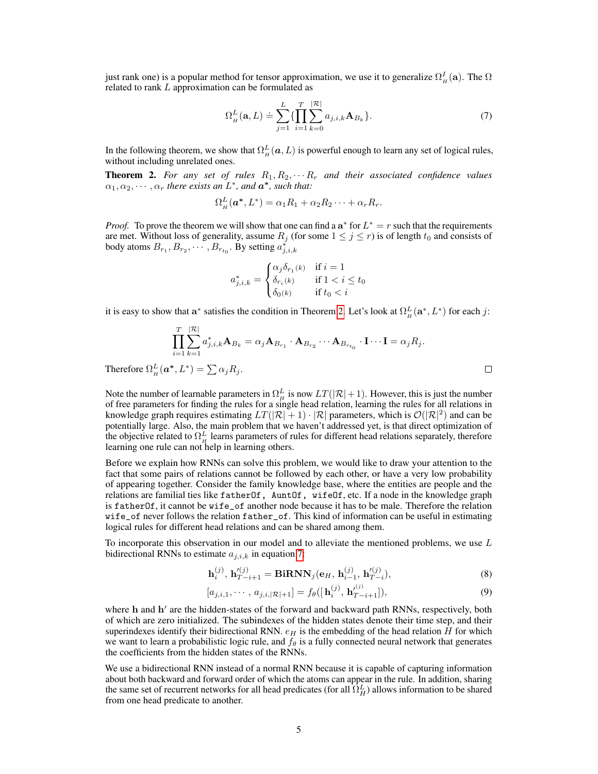just rank one) is a popular method for tensor approximation, we use it to generalize  $\Omega^I_{\!H}(\bf a)$ . The  $\Omega$ related to rank L approximation can be formulated as

$$
\Omega_H^L(\mathbf{a}, L) \doteq \sum_{j=1}^L \{ \prod_{i=1}^T \sum_{k=0}^{|\mathcal{R}|} a_{j,i,k} \mathbf{A}_{B_k} \}.
$$
\n<sup>(7)</sup>

In the following theorem, we show that  $\Omega_h^L(\boldsymbol{a},L)$  is powerful enough to learn any set of logical rules, without including unrelated ones.

**Theorem 2.** For any set of rules  $R_1, R_2, \cdots, R_r$  and their associated confidence values  $\alpha_1, \alpha_2, \cdots, \alpha_r$  there exists an  $L^*$ , and  $\boldsymbol{a^*}$ , such that:

$$
\Omega_H^L(\boldsymbol{a}^*, L^*) = \alpha_1 R_1 + \alpha_2 R_2 \cdots + \alpha_r R_r.
$$

*Proof.* To prove the theorem we will show that one can find a  $a^*$  for  $L^* = r$  such that the requirements are met. Without loss of generality, assume  $R_j$  (for some  $1 \leq j \leq r$ ) is of length  $t_0$  and consists of body atoms  $B_{r_1}, B_{r_2}, \cdots, B_{r_{t_0}}$ . By setting  $a_{j,i,k}^*$ 

$$
a_{j,i,k}^* = \begin{cases} \alpha_j \delta_{r_1(k)} & \text{if } i = 1\\ \delta_{r_i(k)} & \text{if } 1 < i \leq t_0\\ \delta_{0(k)} & \text{if } t_0 < i \end{cases}
$$

it is easy to show that  $\mathbf{a}^*$  satisfies the condition in Theorem 2. Let's look at  $\Omega_R^L(\mathbf{a}^*, L^*)$  for each j:

$$
\prod_{i=1}^T \sum_{k=1}^{|\mathcal{R}|} a_{j,i,k}^* \mathbf{A}_{B_k} = \alpha_j \mathbf{A}_{B_{r_1}} \cdot \mathbf{A}_{B_{r_2}} \cdots \mathbf{A}_{B_{r_{t_0}}} \cdot \mathbf{I} \cdots \mathbf{I} = \alpha_j R_j.
$$
\n
$$
\mathcal{L}_{\mathcal{G}}(a^*, L^*) = \sum \alpha_j R_j.
$$

Therefore  $\Omega^L_{_H}$  $(\boldsymbol{a}$  $) = \sum \alpha_j R_j$ .

Note the number of learnable parameters in  $\Omega_H^L$  is now  $LT(|\mathcal{R}|+1)$ . However, this is just the number of free parameters for finding the rules for a single head relation, learning the rules for all relations in knowledge graph requires estimating  $LT(|\mathcal{R}|+1) \cdot |\mathcal{R}|$  parameters, which is  $\mathcal{O}(|\mathcal{R}|^2)$  and can be potentially large. Also, the main problem that we haven't addressed yet, is that direct optimization of the objective related to  $\Omega_H^L$  learns parameters of rules for different head relations separately, therefore learning one rule can not help in learning others.

Before we explain how RNNs can solve this problem, we would like to draw your attention to the fact that some pairs of relations cannot be followed by each other, or have a very low probability of appearing together. Consider the family knowledge base, where the entities are people and the relations are familial ties like fatherOf, AuntOf, wifeOf, etc. If a node in the knowledge graph is fatherOf, it cannot be wife\_of another node because it has to be male. Therefore the relation wife\_of never follows the relation father\_of. This kind of information can be useful in estimating logical rules for different head relations and can be shared among them.

To incorporate this observation in our model and to alleviate the mentioned problems, we use  $L$ bidirectional RNNs to estimate  $a_{j,i,k}$  in equation 7:

$$
\mathbf{h}_{i}^{(j)}, \mathbf{h}_{T-i+1}^{\prime(j)} = \mathbf{BiRNN}_{j}(\mathbf{e}_{H}, \mathbf{h}_{i-1}^{(j)}, \mathbf{h}_{T-i}^{\prime(j)}),
$$
\n(8)

$$
[a_{j,i,1},\cdots,a_{j,i,|\mathcal{R}|+1}] = f_{\theta}([\mathbf{h}_i^{(j)},\mathbf{h}_{T-i+1}^{(j)}]),
$$
\n(9)

where h and h' are the hidden-states of the forward and backward path RNNs, respectively, both of which are zero initialized. The subindexes of the hidden states denote their time step, and their superindexes identify their bidirectional RNN.  $e_H$  is the embedding of the head relation H for which we want to learn a probabilistic logic rule, and  $f_\theta$  is a fully connected neural network that generates the coefficients from the hidden states of the RNNs.

We use a bidirectional RNN instead of a normal RNN because it is capable of capturing information about both backward and forward order of which the atoms can appear in the rule. In addition, sharing the same set of recurrent networks for all head predicates (for all  $\hat{\Omega}_{H}^{L}$ ) allows information to be shared from one head predicate to another.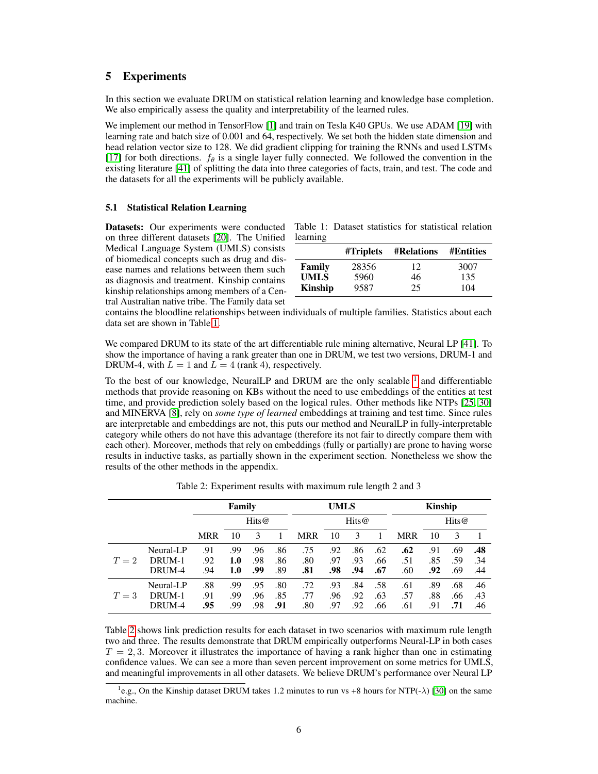## 5 Experiments

In this section we evaluate DRUM on statistical relation learning and knowledge base completion. We also empirically assess the quality and interpretability of the learned rules.

We implement our method in TensorFlow [1] and train on Tesla K40 GPUs. We use ADAM [19] with learning rate and batch size of 0.001 and 64, respectively. We set both the hidden state dimension and head relation vector size to 128. We did gradient clipping for training the RNNs and used LSTMs [17] for both directions.  $f_\theta$  is a single layer fully connected. We followed the convention in the existing literature [41] of splitting the data into three categories of facts, train, and test. The code and the datasets for all the experiments will be publicly available.

## 5.1 Statistical Relation Learning

Datasets: Our experiments were conducted on three different datasets [20]. The Unified Medical Language System (UMLS) consists of biomedical concepts such as drug and disease names and relations between them such as diagnosis and treatment. Kinship contains kinship relationships among members of a Central Australian native tribe. The Family data set

|          |  | Table 1: Dataset statistics for statistical relation |  |
|----------|--|------------------------------------------------------|--|
| learning |  |                                                      |  |

|                | #Triplets | <b>#Relations</b> | #Entities |
|----------------|-----------|-------------------|-----------|
| Family         | 28356     | 12                | 3007      |
| <b>UMLS</b>    | 5960      | 46                | 135       |
| <b>Kinship</b> | 9587      | 25                | 104       |

contains the bloodline relationships between individuals of multiple families. Statistics about each data set are shown in Table 1.

We compared DRUM to its state of the art differentiable rule mining alternative, Neural LP [41]. To show the importance of having a rank greater than one in DRUM, we test two versions, DRUM-1 and DRUM-4, with  $L = 1$  and  $L = 4$  (rank 4), respectively.

To the best of our knowledge, NeuralLP and DRUM are the only scalable  $<sup>1</sup>$  and differentiable</sup> methods that provide reasoning on KBs without the need to use embeddings of the entities at test time, and provide prediction solely based on the logical rules. Other methods like NTPs [25, 30] and MINERVA [8], rely on *some type of learned* embeddings at training and test time. Since rules are interpretable and embeddings are not, this puts our method and NeuralLP in fully-interpretable category while others do not have this advantage (therefore its not fair to directly compare them with each other). Moreover, methods that rely on embeddings (fully or partially) are prone to having worse results in inductive tasks, as partially shown in the experiment section. Nonetheless we show the results of the other methods in the appendix.

Table 2: Experiment results with maximum rule length 2 and 3

|       |           | Family     |     |       | <b>UMLS</b> |     |     | <b>Kinship</b> |     |            |     |       |     |
|-------|-----------|------------|-----|-------|-------------|-----|-----|----------------|-----|------------|-----|-------|-----|
|       |           |            |     | Hits@ |             |     |     | Hits@          |     |            |     | Hits@ |     |
|       |           | <b>MRR</b> | 10  | 3     |             | MRR | 10  | 3              |     | <b>MRR</b> | 10  | 3     |     |
|       | Neural-LP | .91        | .99 | .96   | .86         | .75 | .92 | .86            | .62 | .62        | .91 | .69   | .48 |
| $T=2$ | DRUM-1    | .92        | 1.0 | .98   | .86         | .80 | .97 | .93            | .66 | .51        | .85 | .59   | .34 |
|       | DRUM-4    | .94        | 1.0 | .99   | .89         | .81 | .98 | .94            | .67 | .60        | .92 | .69   | .44 |
|       | Neural-LP | .88        | .99 | .95   | .80         | .72 | .93 | .84            | .58 | .61        | .89 | .68   | .46 |
| $T=3$ | DRUM-1    | .91        | .99 | .96   | .85         | .77 | .96 | .92            | .63 | .57        | .88 | .66   | .43 |
|       | DRUM-4    | .95        | .99 | .98   | .91         | .80 | .97 | .92            | .66 | .61        | .91 | .71   | .46 |

Table 2 shows link prediction results for each dataset in two scenarios with maximum rule length two and three. The results demonstrate that DRUM empirically outperforms Neural-LP in both cases  $T = 2, 3$ . Moreover it illustrates the importance of having a rank higher than one in estimating confidence values. We can see a more than seven percent improvement on some metrics for UMLS, and meaningful improvements in all other datasets. We believe DRUM's performance over Neural LP

<sup>&</sup>lt;sup>1</sup>e.g., On the Kinship dataset DRUM takes 1.2 minutes to run vs +8 hours for NTP(- $\lambda$ ) [30] on the same machine.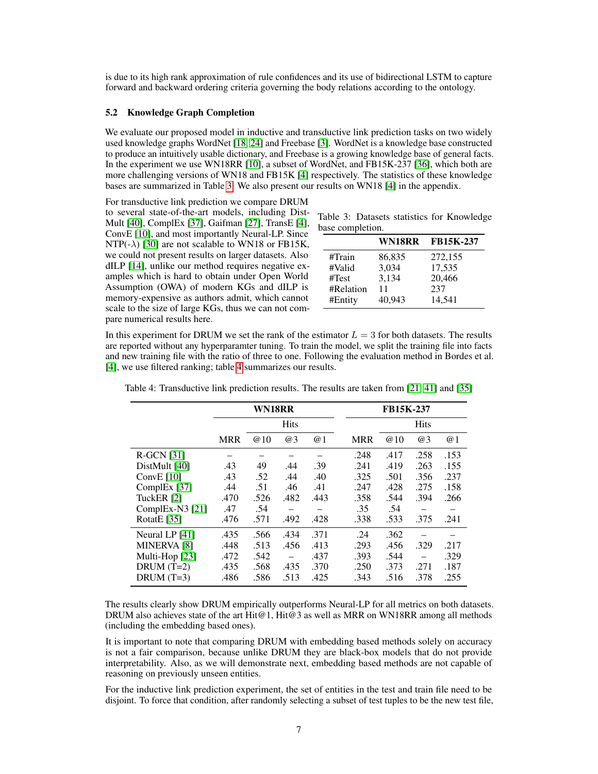is due to its high rank approximation of rule confidences and its use of bidirectional LSTM to capture forward and backward ordering criteria governing the body relations according to the ontology.

#### 5.2 Knowledge Graph Completion

We evaluate our proposed model in inductive and transductive link prediction tasks on two widely used knowledge graphs WordNet [18, 24] and Freebase [3]. WordNet is a knowledge base constructed to produce an intuitively usable dictionary, and Freebase is a growing knowledge base of general facts. In the experiment we use WN18RR [10], a subset of WordNet, and FB15K-237 [36], which both are more challenging versions of WN18 and FB15K [4] respectively. The statistics of these knowledge bases are summarized in Table 3. We also present our results on WN18 [4] in the appendix.

For transductive link prediction we compare DRUM to several state-of-the-art models, including Dist-Mult [40], ComplEx [37], Gaifman [27], TransE [4], ConvE [10], and most importantly Neural-LP. Since NTP(- $\lambda$ ) [30] are not scalable to WN18 or FB15K, we could not present results on larger datasets. Also dILP [14], unlike our method requires negative examples which is hard to obtain under Open World Assumption (OWA) of modern KGs and dILP is memory-expensive as authors admit, which cannot scale to the size of large KGs, thus we can not compare numerical results here.

Table 3: Datasets statistics for Knowledge base completion.

|           | WN18RR | <b>FB15K-237</b> |
|-----------|--------|------------------|
| #Train    | 86,835 | 272,155          |
| #Valid    | 3,034  | 17,535           |
| #Test     | 3,134  | 20,466           |
| #Relation | 11     | 237              |
| #Entity   | 40,943 | 14.541           |

In this experiment for DRUM we set the rank of the estimator  $L = 3$  for both datasets. The results are reported without any hyperparamter tuning. To train the model, we split the training file into facts and new training file with the ratio of three to one. Following the evaluation method in Bordes et al. [4], we use filtered ranking; table 4 summarizes our results.

|                       | <b>WN18RR</b> |      |             |      | <b>FB15K-237</b> |      |             |      |  |
|-----------------------|---------------|------|-------------|------|------------------|------|-------------|------|--|
|                       |               |      | <b>Hits</b> |      |                  |      | <b>Hits</b> |      |  |
|                       | <b>MRR</b>    | @10  | @3          | @1   | <b>MRR</b>       | @10  | @3          | @1   |  |
| <b>R-GCN</b> [31]     |               |      |             |      | .248             | .417 | .258        | .153 |  |
| DistMult [40]         | .43           | 49   | .44         | .39  | .241             | .419 | .263        | .155 |  |
| Conv $E[10]$          | .43           | .52  | .44         | .40  | .325             | .501 | .356        | .237 |  |
| ComplEx [37]          | .44           | .51  | .46         | .41  | .247             | .428 | .275        | .158 |  |
| TuckER <sup>[2]</sup> | .470          | .526 | .482        | .443 | .358             | .544 | .394        | .266 |  |
| ComplEx-N3 [21]       | .47           | .54  |             |      | .35              | .54  |             | -    |  |
| RotatE [35]           | .476          | .571 | .492        | .428 | .338             | .533 | .375        | .241 |  |
| Neural LP [41]        | .435          | .566 | .434        | .371 | .24              | .362 |             |      |  |
| <b>MINERVA [8]</b>    | .448          | .513 | .456        | .413 | .293             | .456 | .329        | .217 |  |
| Multi-Hop [23]        | .472          | .542 |             | .437 | .393             | .544 |             | .329 |  |
| DRUM $(T=2)$          | .435          | .568 | .435        | .370 | .250             | .373 | .271        | .187 |  |
| DRUM $(T=3)$          | .486          | .586 | .513        | .425 | .343             | .516 | .378        | .255 |  |

Table 4: Transductive link prediction results. The results are taken from [21, 41] and [35]

The results clearly show DRUM empirically outperforms Neural-LP for all metrics on both datasets. DRUM also achieves state of the art Hit@1, Hit@3 as well as MRR on WN18RR among all methods (including the embedding based ones).

It is important to note that comparing DRUM with embedding based methods solely on accuracy is not a fair comparison, because unlike DRUM they are black-box models that do not provide interpretability. Also, as we will demonstrate next, embedding based methods are not capable of reasoning on previously unseen entities.

For the inductive link prediction experiment, the set of entities in the test and train file need to be disjoint. To force that condition, after randomly selecting a subset of test tuples to be the new test file,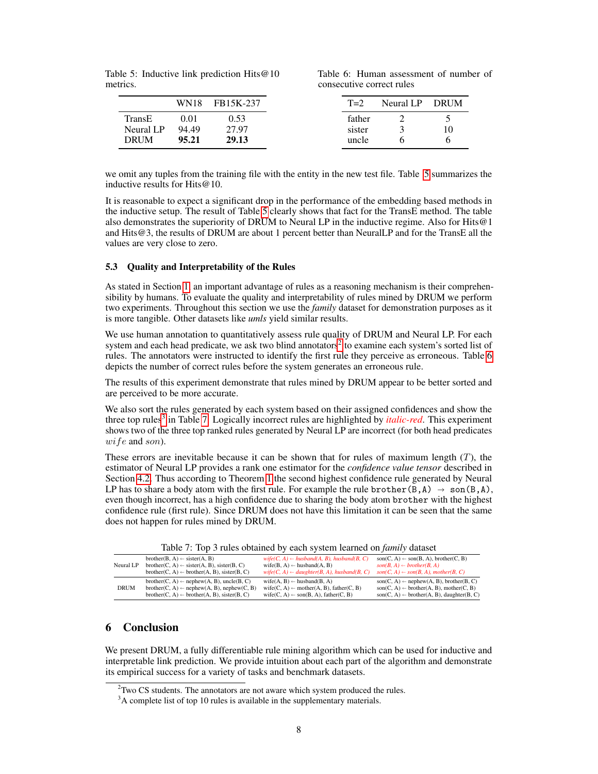|             | <b>WN18</b> | FB15K-237 | $T=2$  | Neural LP DRUM |    |
|-------------|-------------|-----------|--------|----------------|----|
| TransE      | 0.01        | 0.53      | father |                |    |
| Neural LP   | 94.49       | 27.97     | sister |                | 10 |
| <b>DRUM</b> | 95.21       | 29.13     | uncle  |                |    |

Table 5: Inductive link prediction Hits@10 metrics.

we omit any tuples from the training file with the entity in the new test file. Table 5 summarizes the inductive results for Hits@10.

Table 6: Human assessment of number of

consecutive correct rules

It is reasonable to expect a significant drop in the performance of the embedding based methods in the inductive setup. The result of Table 5 clearly shows that fact for the TransE method. The table also demonstrates the superiority of DRUM to Neural LP in the inductive regime. Also for Hits@1 and Hits@3, the results of DRUM are about 1 percent better than NeuralLP and for the TransE all the values are very close to zero.

### 5.3 Quality and Interpretability of the Rules

As stated in Section 1, an important advantage of rules as a reasoning mechanism is their comprehensibility by humans. To evaluate the quality and interpretability of rules mined by DRUM we perform two experiments. Throughout this section we use the *family* dataset for demonstration purposes as it is more tangible. Other datasets like *umls* yield similar results.

We use human annotation to quantitatively assess rule quality of DRUM and Neural LP. For each system and each head predicate, we ask two blind annotators<sup>2</sup> to examine each system's sorted list of rules. The annotators were instructed to identify the first rule they perceive as erroneous. Table 6 depicts the number of correct rules before the system generates an erroneous rule.

The results of this experiment demonstrate that rules mined by DRUM appear to be better sorted and are perceived to be more accurate.

We also sort the rules generated by each system based on their assigned confidences and show the three top rules<sup>3</sup> in Table 7. Logically incorrect rules are highlighted by *italic-red*. This experiment shows two of the three top ranked rules generated by Neural LP are incorrect (for both head predicates wife and son).

These errors are inevitable because it can be shown that for rules of maximum length  $(T)$ , the estimator of Neural LP provides a rank one estimator for the *confidence value tensor* described in Section 4.2. Thus according to Theorem 1 the second highest confidence rule generated by Neural LP has to share a body atom with the first rule. For example the rule brother( $B, A$ )  $\rightarrow$  son( $B, A$ ), even though incorrect, has a high confidence due to sharing the body atom brother with the highest confidence rule (first rule). Since DRUM does not have this limitation it can be seen that the same does not happen for rules mined by DRUM.

|             |                                                        | Tuble 7: Top 5 rates countied by each system fearing on fumily dataset |                                                       |
|-------------|--------------------------------------------------------|------------------------------------------------------------------------|-------------------------------------------------------|
| Neural LP   | brother(B, A) $\leftarrow$ sister(A, B)                | wife(C, A) $\leftarrow$ husband(A, B), husband(B, C)                   | $son(C, A) \leftarrow son(B, A)$ , brother(C, B)      |
|             | brother(C, A) $\leftarrow$ sister(A, B), sister(B, C)  | wife(B, A) $\leftarrow$ husband(A, B)                                  | $son(B, A) \leftarrow brother(B, A)$                  |
|             | brother(C, A) $\leftarrow$ brother(A, B), sister(B, C) | $wife(C, A) \leftarrow daughter(B, A)$ , husband(B, C)                 | $son(C, A) \leftarrow son(B, A)$ , mother(B, C)       |
| <b>DRUM</b> | brother(C, A) $\leftarrow$ nephew(A, B), uncle(B, C)   | wife(A, B) $\leftarrow$ husband(B, A)                                  | $son(C, A) \leftarrow nephew(A, B)$ , brother(B, C)   |
|             | brother(C, A) $\leftarrow$ nephew(A, B), nephew(C, B)  | wife(C, A) $\leftarrow$ mother(A, B), father(C, B)                     | $son(C, A) \leftarrow brother(A, B)$ , mother(C, B)   |
|             | brother(C, A) $\leftarrow$ brother(A, B), sister(B, C) | wife(C, A) $\leftarrow$ son(B, A), father(C, B)                        | $son(C, A) \leftarrow brother(A, B)$ , daughter(B, C) |

Table 7: Top 3 rules obtained by each system learned on *family* dataset

# 6 Conclusion

We present DRUM, a fully differentiable rule mining algorithm which can be used for inductive and interpretable link prediction. We provide intuition about each part of the algorithm and demonstrate its empirical success for a variety of tasks and benchmark datasets.

 $2$ Two CS students. The annotators are not aware which system produced the rules.

<sup>&</sup>lt;sup>3</sup>A complete list of top 10 rules is available in the supplementary materials.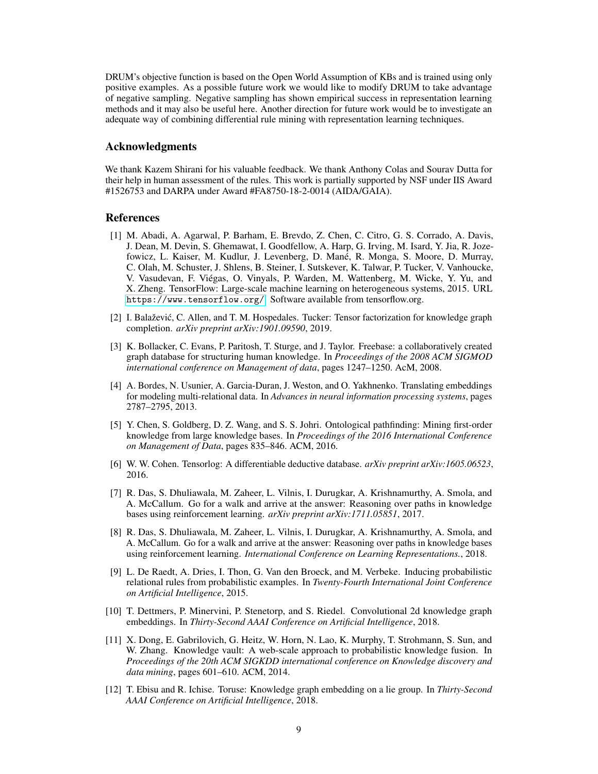DRUM's objective function is based on the Open World Assumption of KBs and is trained using only positive examples. As a possible future work we would like to modify DRUM to take advantage of negative sampling. Negative sampling has shown empirical success in representation learning methods and it may also be useful here. Another direction for future work would be to investigate an adequate way of combining differential rule mining with representation learning techniques.

## Acknowledgments

We thank Kazem Shirani for his valuable feedback. We thank Anthony Colas and Sourav Dutta for their help in human assessment of the rules. This work is partially supported by NSF under IIS Award #1526753 and DARPA under Award #FA8750-18-2-0014 (AIDA/GAIA).

## **References**

- [1] M. Abadi, A. Agarwal, P. Barham, E. Brevdo, Z. Chen, C. Citro, G. S. Corrado, A. Davis, J. Dean, M. Devin, S. Ghemawat, I. Goodfellow, A. Harp, G. Irving, M. Isard, Y. Jia, R. Jozefowicz, L. Kaiser, M. Kudlur, J. Levenberg, D. Mané, R. Monga, S. Moore, D. Murray, C. Olah, M. Schuster, J. Shlens, B. Steiner, I. Sutskever, K. Talwar, P. Tucker, V. Vanhoucke, V. Vasudevan, F. Viégas, O. Vinyals, P. Warden, M. Wattenberg, M. Wicke, Y. Yu, and X. Zheng. TensorFlow: Large-scale machine learning on heterogeneous systems, 2015. URL <https://www.tensorflow.org/>. Software available from tensorflow.org.
- [2] I. Balažević, C. Allen, and T. M. Hospedales. Tucker: Tensor factorization for knowledge graph completion. *arXiv preprint arXiv:1901.09590*, 2019.
- [3] K. Bollacker, C. Evans, P. Paritosh, T. Sturge, and J. Taylor. Freebase: a collaboratively created graph database for structuring human knowledge. In *Proceedings of the 2008 ACM SIGMOD international conference on Management of data*, pages 1247–1250. AcM, 2008.
- [4] A. Bordes, N. Usunier, A. Garcia-Duran, J. Weston, and O. Yakhnenko. Translating embeddings for modeling multi-relational data. In *Advances in neural information processing systems*, pages 2787–2795, 2013.
- [5] Y. Chen, S. Goldberg, D. Z. Wang, and S. S. Johri. Ontological pathfinding: Mining first-order knowledge from large knowledge bases. In *Proceedings of the 2016 International Conference on Management of Data*, pages 835–846. ACM, 2016.
- [6] W. W. Cohen. Tensorlog: A differentiable deductive database. *arXiv preprint arXiv:1605.06523*, 2016.
- [7] R. Das, S. Dhuliawala, M. Zaheer, L. Vilnis, I. Durugkar, A. Krishnamurthy, A. Smola, and A. McCallum. Go for a walk and arrive at the answer: Reasoning over paths in knowledge bases using reinforcement learning. *arXiv preprint arXiv:1711.05851*, 2017.
- [8] R. Das, S. Dhuliawala, M. Zaheer, L. Vilnis, I. Durugkar, A. Krishnamurthy, A. Smola, and A. McCallum. Go for a walk and arrive at the answer: Reasoning over paths in knowledge bases using reinforcement learning. *International Conference on Learning Representations.*, 2018.
- [9] L. De Raedt, A. Dries, I. Thon, G. Van den Broeck, and M. Verbeke. Inducing probabilistic relational rules from probabilistic examples. In *Twenty-Fourth International Joint Conference on Artificial Intelligence*, 2015.
- [10] T. Dettmers, P. Minervini, P. Stenetorp, and S. Riedel. Convolutional 2d knowledge graph embeddings. In *Thirty-Second AAAI Conference on Artificial Intelligence*, 2018.
- [11] X. Dong, E. Gabrilovich, G. Heitz, W. Horn, N. Lao, K. Murphy, T. Strohmann, S. Sun, and W. Zhang. Knowledge vault: A web-scale approach to probabilistic knowledge fusion. In *Proceedings of the 20th ACM SIGKDD international conference on Knowledge discovery and data mining*, pages 601–610. ACM, 2014.
- [12] T. Ebisu and R. Ichise. Toruse: Knowledge graph embedding on a lie group. In *Thirty-Second AAAI Conference on Artificial Intelligence*, 2018.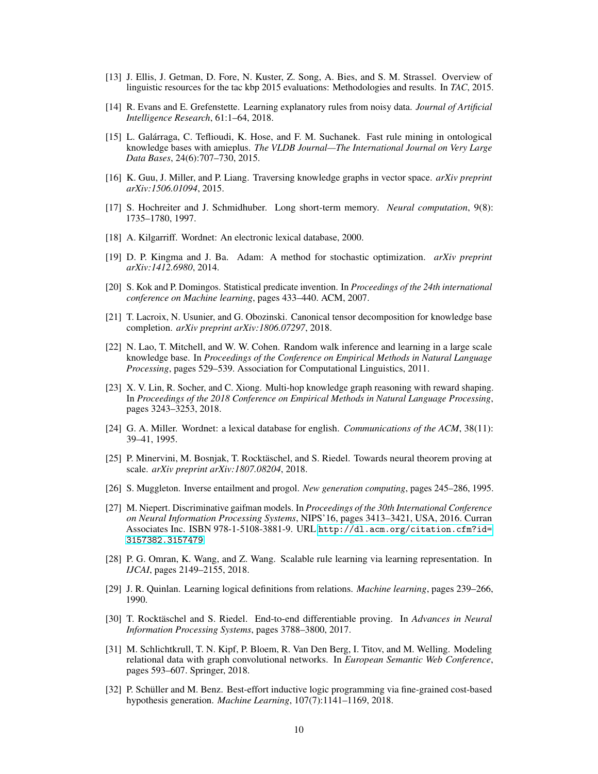- [13] J. Ellis, J. Getman, D. Fore, N. Kuster, Z. Song, A. Bies, and S. M. Strassel. Overview of linguistic resources for the tac kbp 2015 evaluations: Methodologies and results. In *TAC*, 2015.
- [14] R. Evans and E. Grefenstette. Learning explanatory rules from noisy data. *Journal of Artificial Intelligence Research*, 61:1–64, 2018.
- [15] L. Galárraga, C. Teflioudi, K. Hose, and F. M. Suchanek. Fast rule mining in ontological knowledge bases with amieplus. *The VLDB Journal—The International Journal on Very Large Data Bases*, 24(6):707–730, 2015.
- [16] K. Guu, J. Miller, and P. Liang. Traversing knowledge graphs in vector space. *arXiv preprint arXiv:1506.01094*, 2015.
- [17] S. Hochreiter and J. Schmidhuber. Long short-term memory. *Neural computation*, 9(8): 1735–1780, 1997.
- [18] A. Kilgarriff. Wordnet: An electronic lexical database, 2000.
- [19] D. P. Kingma and J. Ba. Adam: A method for stochastic optimization. *arXiv preprint arXiv:1412.6980*, 2014.
- [20] S. Kok and P. Domingos. Statistical predicate invention. In *Proceedings of the 24th international conference on Machine learning*, pages 433–440. ACM, 2007.
- [21] T. Lacroix, N. Usunier, and G. Obozinski. Canonical tensor decomposition for knowledge base completion. *arXiv preprint arXiv:1806.07297*, 2018.
- [22] N. Lao, T. Mitchell, and W. W. Cohen. Random walk inference and learning in a large scale knowledge base. In *Proceedings of the Conference on Empirical Methods in Natural Language Processing*, pages 529–539. Association for Computational Linguistics, 2011.
- [23] X. V. Lin, R. Socher, and C. Xiong. Multi-hop knowledge graph reasoning with reward shaping. In *Proceedings of the 2018 Conference on Empirical Methods in Natural Language Processing*, pages 3243–3253, 2018.
- [24] G. A. Miller. Wordnet: a lexical database for english. *Communications of the ACM*, 38(11): 39–41, 1995.
- [25] P. Minervini, M. Bosnjak, T. Rocktäschel, and S. Riedel. Towards neural theorem proving at scale. *arXiv preprint arXiv:1807.08204*, 2018.
- [26] S. Muggleton. Inverse entailment and progol. *New generation computing*, pages 245–286, 1995.
- [27] M. Niepert. Discriminative gaifman models. In *Proceedings of the 30th International Conference on Neural Information Processing Systems*, NIPS'16, pages 3413–3421, USA, 2016. Curran Associates Inc. ISBN 978-1-5108-3881-9. URL [http://dl.acm.org/citation.cfm?id=](http://dl.acm.org/citation.cfm?id=3157382.3157479) [3157382.3157479](http://dl.acm.org/citation.cfm?id=3157382.3157479).
- [28] P. G. Omran, K. Wang, and Z. Wang. Scalable rule learning via learning representation. In *IJCAI*, pages 2149–2155, 2018.
- [29] J. R. Quinlan. Learning logical definitions from relations. *Machine learning*, pages 239–266, 1990.
- [30] T. Rocktäschel and S. Riedel. End-to-end differentiable proving. In *Advances in Neural Information Processing Systems*, pages 3788–3800, 2017.
- [31] M. Schlichtkrull, T. N. Kipf, P. Bloem, R. Van Den Berg, I. Titov, and M. Welling. Modeling relational data with graph convolutional networks. In *European Semantic Web Conference*, pages 593–607. Springer, 2018.
- [32] P. Schüller and M. Benz. Best-effort inductive logic programming via fine-grained cost-based hypothesis generation. *Machine Learning*, 107(7):1141–1169, 2018.